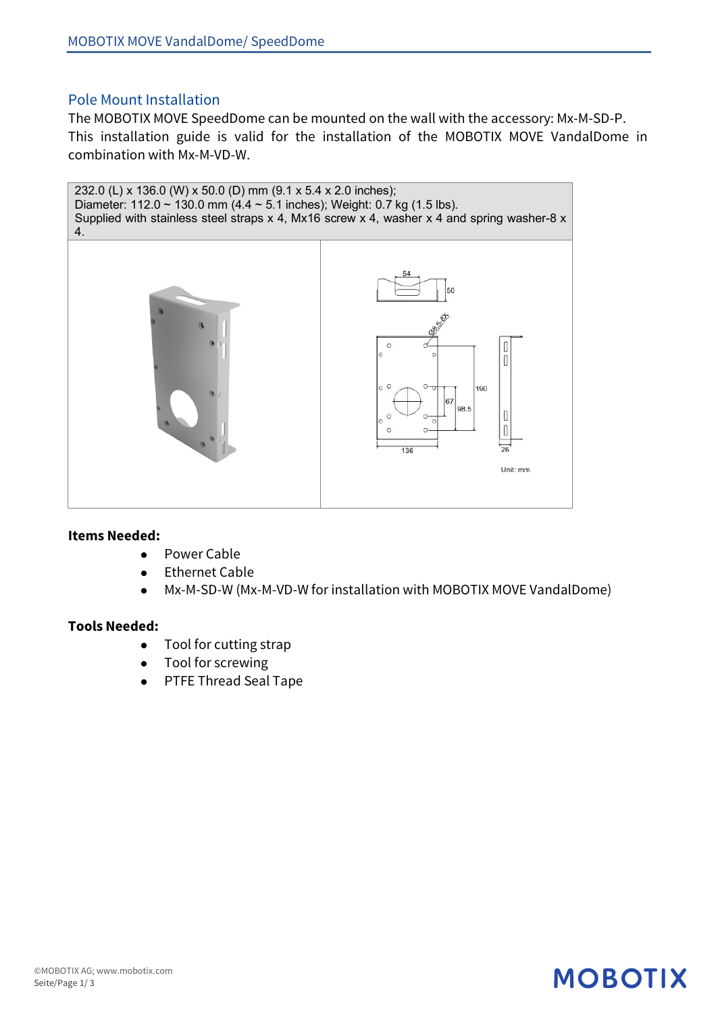### Pole Mount Installation

The MOBOTIX MOVE SpeedDome can be mounted on the wall with the accessory: Mx-M-SD-P. This installation guide is valid for the installation of the MOBOTIX MOVE VandalDome in combination with Mx-M-VD-W.



#### **Items Needed:**

- Power Cable
- Ethernet Cable
- Mx-M-SD-W (Mx-M-VD-W for installation with MOBOTIX MOVE VandalDome)

**MOBOTIX** 

#### **Tools Needed:**

- $\bullet$  Tool for cutting strap
- Tool for screwing
- PTFE Thread Seal Tape

#### ©MOBOTIX AG; www.mobotix.com Seite/Page 1/ 3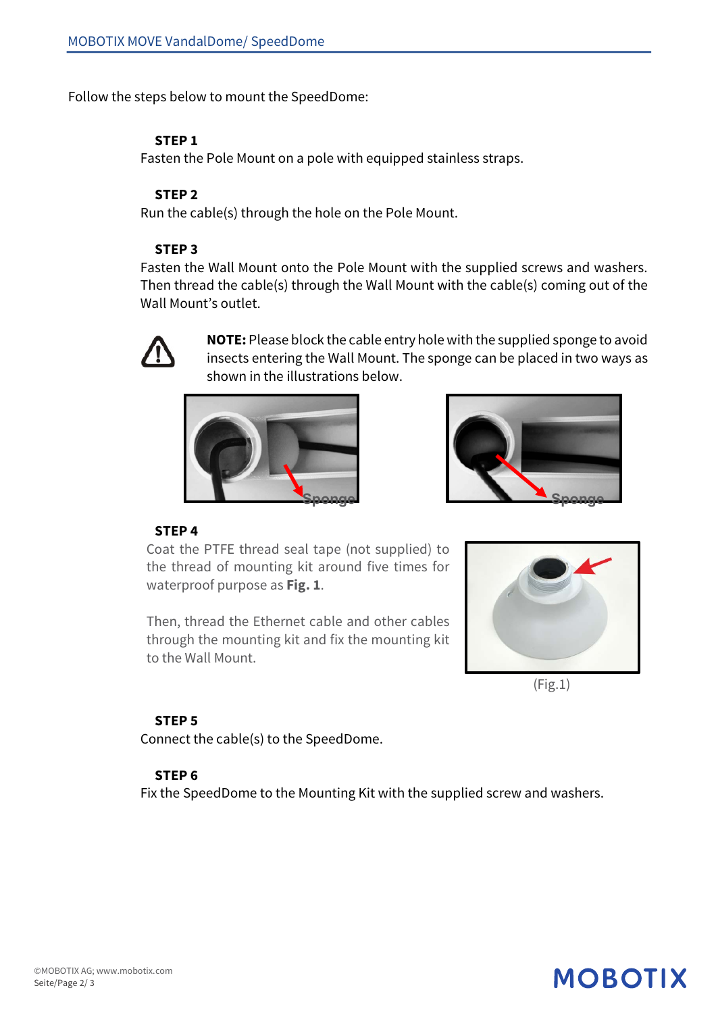Follow the steps below to mount the SpeedDome:

#### **STEP 1**

Fasten the Pole Mount on a pole with equipped stainless straps.

#### **STEP 2**

Run the cable(s) through the hole on the Pole Mount.

#### **STEP 3**

Fasten the Wall Mount onto the Pole Mount with the supplied screws and washers. Then thread the cable(s) through the Wall Mount with the cable(s) coming out of the Wall Mount's outlet.



**NOTE:** Please block the cable entry hole with the supplied sponge to avoid insects entering the Wall Mount. The sponge can be placed in two ways as shown in the illustrations below.





#### **STEP 4**

Coat the PTFE thread seal tape (not supplied) to the thread of mounting kit around five times for waterproof purpose as **Fig. 1**.

Then, thread the Ethernet cable and other cables through the mounting kit and fix the mounting kit to the Wall Mount.



(Fig.1)

**MOBOTIX** 

#### **STEP 5**

Connect the cable(s) to the SpeedDome.

#### **STEP 6**

Fix the SpeedDome to the Mounting Kit with the supplied screw and washers.